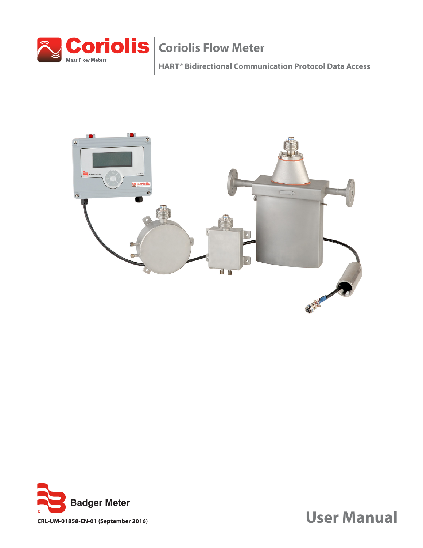

**HART® Bidirectional Communication Protocol Data Access**



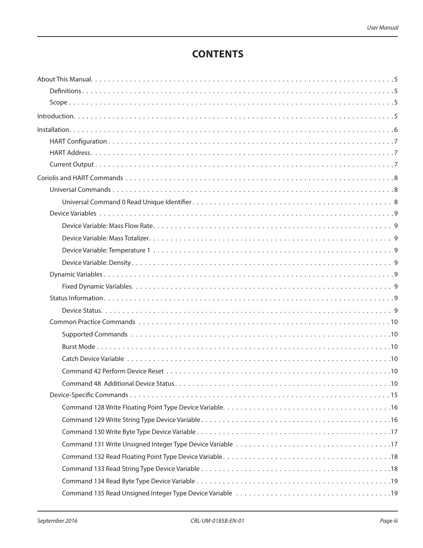# **CONTENTS**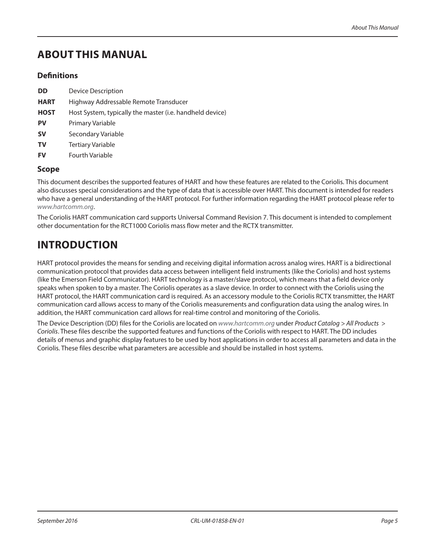# <span id="page-4-0"></span>**ABOUT THIS MANUAL**

# **Definitions**

- **DD** Device Description
- **HART** Highway Addressable Remote Transducer
- **HOST** Host System, typically the master (i.e. handheld device)
- **PV** Primary Variable
- **SV** Secondary Variable
- **TV** Tertiary Variable
- **FV** Fourth Variable

# **Scope**

This document describes the supported features of HART and how these features are related to the Coriolis. This document also discusses special considerations and the type of data that is accessible over HART. This document is intended for readers who have a general understanding of the HART protocol. For further information regarding the HART protocol please refer to *[www.hartcomm.o](www.badgermeter.com)rg*.

The Coriolis HART communication card supports Universal Command Revision 7. This document is intended to complement other documentation for the RCT1000 Coriolis mass flow meter and the RCTX transmitter.

# **INTRODUCTION**

HART protocol provides the means for sending and receiving digital information across analog wires. HART is a bidirectional communication protocol that provides data access between intelligent field instruments (like the Coriolis) and host systems (like the Emerson Field Communicator). HART technology is a master/slave protocol, which means that a field device only speaks when spoken to by a master. The Coriolis operates as a slave device. In order to connect with the Coriolis using the HART protocol, the HART communication card is required. As an accessory module to the Coriolis RCTX transmitter, the HART communication card allows access to many of the Coriolis measurements and configuration data using the analog wires. In addition, the HART communication card allows for real-time control and monitoring of the Coriolis.

The Device Description (DD) files for the Coriolis are located on *[www.hartcomm.](www.badgermeter.com)org* under *Product Catalog > All Products > Coriolis*. These files describe the supported features and functions of the Coriolis with respect to HART. The DD includes details of menus and graphic display features to be used by host applications in order to access all parameters and data in the Coriolis. These files describe what parameters are accessible and should be installed in host systems.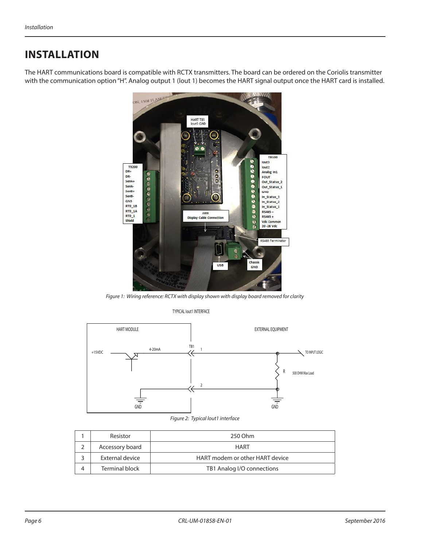# <span id="page-5-0"></span>**INSTALLATION**

The HART communications board is compatible with RCTX transmitters. The board can be ordered on the Coriolis transmitter with the communication option "H". Analog output 1 (lout 1) becomes the HART signal output once the HART card is installed.



*Figure 1: Wiring reference: RCTX with display shown with display board removed for clarity*

#### TYPICAL Iout1 INTERFACE



#### *Figure 2: Typical lout1 interface*

| Resistor        | 250 Ohm                         |  |
|-----------------|---------------------------------|--|
| Accessory board | <b>HART</b>                     |  |
| External device | HART modem or other HART device |  |
| Terminal block  | TB1 Analog I/O connections      |  |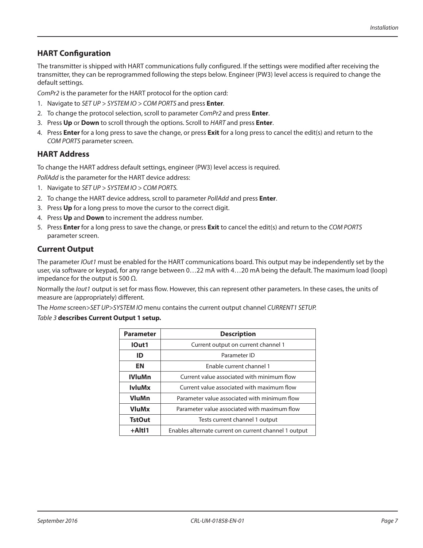# <span id="page-6-0"></span>**HART Configuration**

The transmitter is shipped with HART communications fully configured. If the settings were modified after receiving the transmitter, they can be reprogrammed following the steps below. Engineer (PW3) level access is required to change the default settings.

*ComPr2* is the parameter for the HART protocol for the option card:

- 1. Navigate to *SET UP > SYSTEM IO > COM PORTS* and press **Enter***.*
- 2. To change the protocol selection, scroll to parameter *ComPr2* and press **Enter**.
- 3. Press **Up** or **Down** to scroll through the options. Scroll to *HART* and press **Enter**.
- 4. Press **Enter** for a long press to save the change, or press **Exit** for a long press to cancel the edit(s) and return to the *COM PORTS* parameter screen.

# **HART Address**

To change the HART address default settings, engineer (PW3) level access is required.

*PollAdd* is the parameter for the HART device address:

- 1. Navigate to *SET UP > SYSTEM IO > COM PORTS.*
- 2. To change the HART device address, scroll to parameter *PollAdd* and press **Enter**.
- 3. Press **Up** for a long press to move the cursor to the correct digit.
- 4. Press **Up** and **Down** to increment the address number.
- 5. Press **Enter** for a long press to save the change, or press **Exit** to cancel the edit(s) and return to the *COM PORTS* parameter screen.

### **Current Output**

The parameter *IOut1* must be enabled for the HART communications board. This output may be independently set by the user, via software or keypad, for any range between 0…22 mA with 4…20 mA being the default. The maximum load (loop) impedance for the output is 500  $Ω$ .

Normally the *Iout1* output is set for mass flow. However, this can represent other parameters. In these cases, the units of measure are (appropriately) different.

The *Home* screen*>SET UP>SYSTEM IO* menu contains the current output channel *CURRENT1 SETUP.*

#### *Table 3* **describes Current Output 1 setup.**

| <b>Parameter</b> | <b>Description</b>                                    |  |
|------------------|-------------------------------------------------------|--|
| IOut1            | Current output on current channel 1                   |  |
| ID               | Parameter ID                                          |  |
| EN               | Enable current channel 1                              |  |
| <b>IVluMn</b>    | Current value associated with minimum flow            |  |
| <b>IvluMx</b>    | Current value associated with maximum flow            |  |
| VluMn            | Parameter value associated with minimum flow          |  |
| <b>VluMx</b>     | Parameter value associated with maximum flow          |  |
| <b>TstOut</b>    | Tests current channel 1 output                        |  |
| +AltI1           | Enables alternate current on current channel 1 output |  |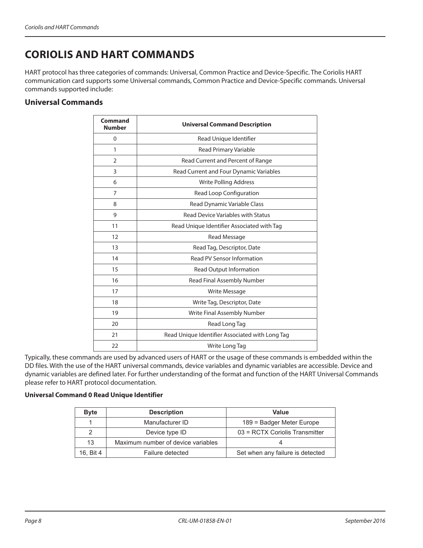# <span id="page-7-0"></span>**CORIOLIS AND HART COMMANDS**

HART protocol has three categories of commands: Universal, Common Practice and Device-Specific. The Coriolis HART communication card supports some Universal commands, Common Practice and Device-Specific commands. Universal commands supported include:

# **Universal Commands**

| Command<br><b>Number</b> | <b>Universal Command Description</b>            |  |  |
|--------------------------|-------------------------------------------------|--|--|
| 0                        | Read Unique Identifier                          |  |  |
| 1                        | Read Primary Variable                           |  |  |
| $\overline{2}$           | Read Current and Percent of Range               |  |  |
| 3                        | Read Current and Four Dynamic Variables         |  |  |
| 6                        | <b>Write Polling Address</b>                    |  |  |
| $\overline{7}$           | Read Loop Configuration                         |  |  |
| 8                        | Read Dynamic Variable Class                     |  |  |
| $\mathsf{Q}$             | <b>Read Device Variables with Status</b>        |  |  |
| 11                       | Read Unique Identifier Associated with Tag      |  |  |
| 12                       | Read Message                                    |  |  |
| 13                       | Read Tag, Descriptor, Date                      |  |  |
| 14                       | Read PV Sensor Information                      |  |  |
| 15                       | Read Output Information                         |  |  |
| 16                       | Read Final Assembly Number                      |  |  |
| 17                       | Write Message                                   |  |  |
| 18                       | Write Tag, Descriptor, Date                     |  |  |
| 19                       | Write Final Assembly Number                     |  |  |
| 20                       | Read Long Tag                                   |  |  |
| 21                       | Read Unique Identifier Associated with Long Tag |  |  |
| 22                       | Write Long Tag                                  |  |  |

Typically, these commands are used by advanced users of HART or the usage of these commands is embedded within the DD files. With the use of the HART universal commands, device variables and dynamic variables are accessible. Device and dynamic variables are defined later. For further understanding of the format and function of the HART Universal Commands please refer to HART protocol documentation.

### **Universal Command 0 Read Unique Identifier**

| <b>Byte</b> | <b>Description</b>                 | Value                            |
|-------------|------------------------------------|----------------------------------|
|             | Manufacturer ID                    | 189 = Badger Meter Europe        |
| 2           | Device type ID                     | 03 = RCTX Coriolis Transmitter   |
| 13          | Maximum number of device variables |                                  |
| 16. Bit 4   | Failure detected                   | Set when any failure is detected |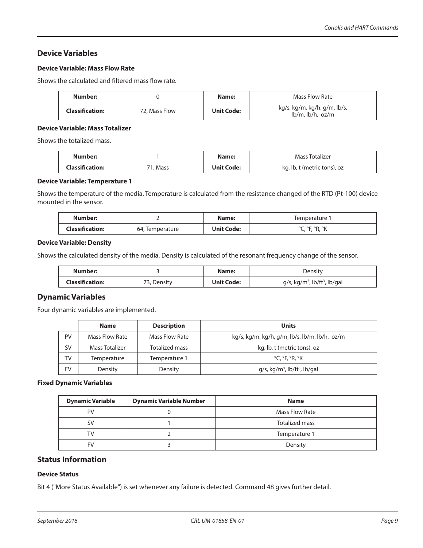# <span id="page-8-0"></span>**Device Variables**

### **Device Variable: Mass Flow Rate**

Shows the calculated and filtered mass flow rate.

| Number:                |               | Name:             | Mass Flow Rate                                           |
|------------------------|---------------|-------------------|----------------------------------------------------------|
| <b>Classification:</b> | 72. Mass Flow | <b>Unit Code:</b> | kg/s, kg/m, kg/h, g/m, lb/s,<br>$lb/m$ , $lb/h$ , $oz/m$ |

#### **Device Variable: Mass Totalizer**

Shows the totalized mass.

| Number:                |          | Name:             | Mass Totalizer              |
|------------------------|----------|-------------------|-----------------------------|
| <b>Classification:</b> | 71, Mass | <b>Unit Code:</b> | kg, lb, t (metric tons), oz |

#### **Device Variable: Temperature 1**

Shows the temperature of the media. Temperature is calculated from the resistance changed of the RTD (Pt-100) device mounted in the sensor.

| Number:         |                 | Name:      | Iemperature                             |
|-----------------|-----------------|------------|-----------------------------------------|
| Classification: | 64, Temperature | Unit Code: | OE OD OL⁄<br>$\sigma$<br>1, 11, 11<br>◡ |

#### **Device Variable: Density**

Shows the calculated density of the media. Density is calculated of the resonant frequency change of the sensor.

| Number:                |             | Name:             | Density                                                 |
|------------------------|-------------|-------------------|---------------------------------------------------------|
| <b>Classification:</b> | 73, Density | <b>Unit Code:</b> | $q/s$ , kg/m <sup>3</sup> , lb/ft <sup>3</sup> , lb/gal |

# **Dynamic Variables**

Four dynamic variables are implemented.

|    | <b>Name</b>    | <b>Description</b>    | Units                                                   |
|----|----------------|-----------------------|---------------------------------------------------------|
| PV | Mass Flow Rate | Mass Flow Rate        | kg/s, kg/m, kg/h, g/m, lb/s, lb/m, lb/h, oz/m           |
| SV | Mass Totalizer | <b>Totalized mass</b> | kg, lb, t (metric tons), oz                             |
| TV | Temperature    | Temperature 1         | $^{\circ}$ C, $^{\circ}$ F, $^{\circ}$ R, $^{\circ}$ K  |
| FV | Density        | Density               | $g/s$ , kg/m <sup>3</sup> , lb/ft <sup>3</sup> , lb/gal |

#### **Fixed Dynamic Variables**

| <b>Dynamic Variable</b> | <b>Dynamic Variable Number</b> | <b>Name</b>    |
|-------------------------|--------------------------------|----------------|
| PV                      |                                | Mass Flow Rate |
| SV                      |                                | Totalized mass |
| тv.                     |                                | Temperature 1  |
| FV                      |                                | Density        |

# **Status Information**

# **Device Status**

Bit 4 ("More Status Available") is set whenever any failure is detected. Command 48 gives further detail.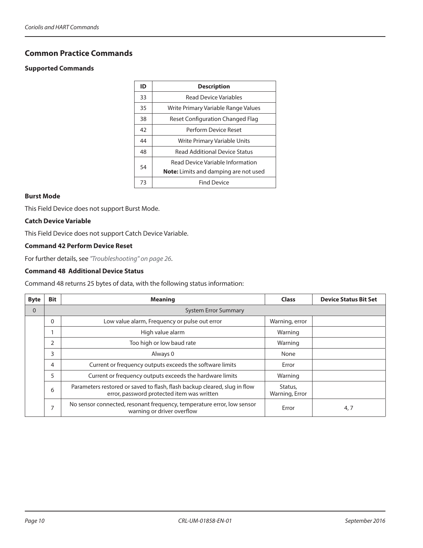# <span id="page-9-0"></span>**Common Practice Commands**

#### **Supported Commands**

| ID | <b>Description</b>                           |
|----|----------------------------------------------|
| 33 | <b>Read Device Variables</b>                 |
| 35 | Write Primary Variable Range Values          |
| 38 | Reset Configuration Changed Flag             |
| 42 | Perform Device Reset                         |
| 44 | Write Primary Variable Units                 |
| 48 | <b>Read Additional Device Status</b>         |
| 54 | Read Device Variable Information             |
|    | <b>Note:</b> Limits and damping are not used |
| 73 | <b>Find Device</b>                           |

#### **Burst Mode**

This Field Device does not support Burst Mode.

#### **Catch Device Variable**

This Field Device does not support Catch Device Variable.

#### **Command 42 Perform Device Reset**

For further details, see *["Troubleshooting" on page 26](#page-25-1)*.

### **Command 48 Additional Device Status**

Command 48 returns 25 bytes of data, with the following status information:

| <b>Byte</b> | <b>Bit</b>                                                    | <b>Meaning</b>                                                                                                          | <b>Class</b>              | <b>Device Status Bit Set</b> |
|-------------|---------------------------------------------------------------|-------------------------------------------------------------------------------------------------------------------------|---------------------------|------------------------------|
| $\Omega$    |                                                               | <b>System Error Summary</b>                                                                                             |                           |                              |
|             | $\Omega$                                                      | Low value alarm, Frequency or pulse out error                                                                           | Warning, error            |                              |
|             | High value alarm                                              |                                                                                                                         | Warning                   |                              |
|             | Too high or low baud rate<br>2                                |                                                                                                                         | Warning                   |                              |
|             | 3<br>Always 0                                                 |                                                                                                                         | None                      |                              |
|             | Current or frequency outputs exceeds the software limits<br>4 |                                                                                                                         | Error                     |                              |
|             | Current or frequency outputs exceeds the hardware limits<br>5 |                                                                                                                         | Warning                   |                              |
|             | 6                                                             | Parameters restored or saved to flash, flash backup cleared, slug in flow<br>error, password protected item was written | Status,<br>Warning, Error |                              |
|             | ⇁                                                             | No sensor connected, resonant frequency, temperature error, low sensor<br>warning or driver overflow                    | Error                     | 4,7                          |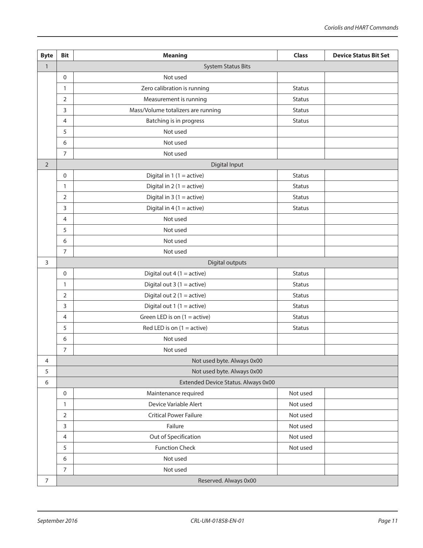| <b>Byte</b>    | <b>Bit</b>                | <b>Meaning</b>                      | <b>Class</b>  | <b>Device Status Bit Set</b> |  |  |  |  |  |
|----------------|---------------------------|-------------------------------------|---------------|------------------------------|--|--|--|--|--|
| $\mathbf{1}$   | <b>System Status Bits</b> |                                     |               |                              |  |  |  |  |  |
|                | $\mathbf 0$               | Not used                            |               |                              |  |  |  |  |  |
|                | $\mathbf{1}$              | Zero calibration is running         | <b>Status</b> |                              |  |  |  |  |  |
|                | 2                         | Measurement is running              | <b>Status</b> |                              |  |  |  |  |  |
|                | 3                         | Mass/Volume totalizers are running  | <b>Status</b> |                              |  |  |  |  |  |
|                | 4                         | Batching is in progress             | Status        |                              |  |  |  |  |  |
|                | 5                         | Not used                            |               |                              |  |  |  |  |  |
|                | 6                         | Not used                            |               |                              |  |  |  |  |  |
|                | $\overline{7}$            | Not used                            |               |                              |  |  |  |  |  |
| $\overline{2}$ |                           | <b>Digital Input</b>                |               |                              |  |  |  |  |  |
|                | 0                         | Digital in $1(1 = active)$          | <b>Status</b> |                              |  |  |  |  |  |
|                | 1                         | Digital in $2(1 = active)$          | <b>Status</b> |                              |  |  |  |  |  |
|                | $\overline{2}$            | Digital in $3(1 = active)$          | <b>Status</b> |                              |  |  |  |  |  |
|                | 3                         | Digital in $4(1 = active)$          | Status        |                              |  |  |  |  |  |
|                | 4                         | Not used                            |               |                              |  |  |  |  |  |
|                | 5                         | Not used                            |               |                              |  |  |  |  |  |
|                | 6                         | Not used                            |               |                              |  |  |  |  |  |
|                | $\overline{7}$            | Not used                            |               |                              |  |  |  |  |  |
| 3              |                           | Digital outputs                     |               |                              |  |  |  |  |  |
|                | 0                         | Digital out $4(1 = active)$         | <b>Status</b> |                              |  |  |  |  |  |
|                | 1                         | Digital out $3(1 = active)$         | <b>Status</b> |                              |  |  |  |  |  |
|                | 2                         | Digital out $2(1 = active)$         | <b>Status</b> |                              |  |  |  |  |  |
|                | 3                         | Digital out $1(1 = active)$         | <b>Status</b> |                              |  |  |  |  |  |
|                | 4                         | Green LED is on $(1 = active)$      | <b>Status</b> |                              |  |  |  |  |  |
|                | 5                         | Red LED is on $(1 = active)$        | <b>Status</b> |                              |  |  |  |  |  |
|                | 6                         | Not used                            |               |                              |  |  |  |  |  |
|                | $\overline{7}$            | Not used                            |               |                              |  |  |  |  |  |
| 4              |                           | Not used byte. Always 0x00          |               |                              |  |  |  |  |  |
| 5              |                           | Not used byte. Always 0x00          |               |                              |  |  |  |  |  |
| 6              |                           | Extended Device Status. Always 0x00 |               |                              |  |  |  |  |  |
|                | 0                         | Maintenance required                | Not used      |                              |  |  |  |  |  |
|                | $\mathbf{1}$              | Device Variable Alert               | Not used      |                              |  |  |  |  |  |
|                | $\overline{2}$            | <b>Critical Power Failure</b>       | Not used      |                              |  |  |  |  |  |
|                | 3                         | Failure                             | Not used      |                              |  |  |  |  |  |
|                | $\overline{4}$            | Out of Specification                | Not used      |                              |  |  |  |  |  |
|                | 5                         | <b>Function Check</b>               | Not used      |                              |  |  |  |  |  |
|                | 6                         | Not used                            |               |                              |  |  |  |  |  |
|                | $\overline{7}$            | Not used                            |               |                              |  |  |  |  |  |
| $\overline{7}$ | Reserved. Always 0x00     |                                     |               |                              |  |  |  |  |  |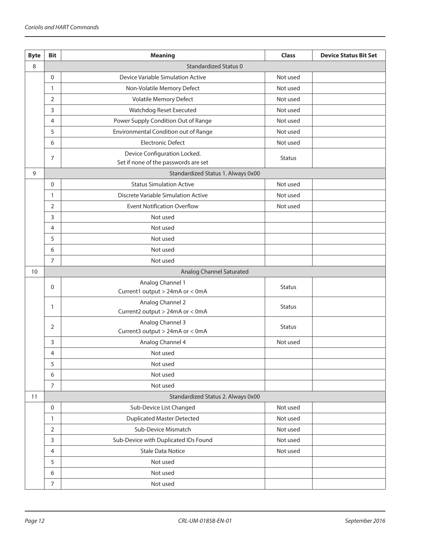| <b>Byte</b> | <b>Bit</b>                      | <b>Meaning</b>                                      | <b>Class</b>  | <b>Device Status Bit Set</b> |  |  |  |
|-------------|---------------------------------|-----------------------------------------------------|---------------|------------------------------|--|--|--|
| 8           |                                 | <b>Standardized Status 0</b>                        |               |                              |  |  |  |
|             | $\mathbf 0$                     | Device Variable Simulation Active                   | Not used      |                              |  |  |  |
|             | $\mathbf{1}$                    | Non-Volatile Memory Defect                          | Not used      |                              |  |  |  |
|             | 2                               | Volatile Memory Defect                              | Not used      |                              |  |  |  |
|             | 3                               | Watchdog Reset Executed                             | Not used      |                              |  |  |  |
|             | 4                               | Power Supply Condition Out of Range                 | Not used      |                              |  |  |  |
|             | 5                               | Environmental Condition out of Range                | Not used      |                              |  |  |  |
|             | 6                               | <b>Electronic Defect</b>                            | Not used      |                              |  |  |  |
|             | 7                               | Device Configuration Locked.                        | <b>Status</b> |                              |  |  |  |
|             |                                 | Set if none of the passwords are set                |               |                              |  |  |  |
| 9           |                                 | Standardized Status 1. Always 0x00                  |               |                              |  |  |  |
|             | $\mathbf 0$                     | <b>Status Simulation Active</b>                     | Not used      |                              |  |  |  |
|             | $\mathbf{1}$                    | Discrete Variable Simulation Active                 | Not used      |                              |  |  |  |
|             | 2                               | <b>Event Notification Overflow</b>                  | Not used      |                              |  |  |  |
|             | 3                               | Not used                                            |               |                              |  |  |  |
|             | 4                               | Not used                                            |               |                              |  |  |  |
|             | 5                               | Not used                                            |               |                              |  |  |  |
|             | 6                               | Not used                                            |               |                              |  |  |  |
|             | $\overline{7}$                  | Not used                                            |               |                              |  |  |  |
| 10          | <b>Analog Channel Saturated</b> |                                                     |               |                              |  |  |  |
|             | 0<br>1                          | Analog Channel 1                                    | <b>Status</b> |                              |  |  |  |
|             |                                 | Current1 output > 24mA or < 0mA                     |               |                              |  |  |  |
|             |                                 | Analog Channel 2<br>Current2 output > 24mA or < 0mA | <b>Status</b> |                              |  |  |  |
|             |                                 | Analog Channel 3                                    |               |                              |  |  |  |
|             | 2                               | Current3 output > 24mA or < 0mA                     | <b>Status</b> |                              |  |  |  |
|             | 3                               | Analog Channel 4                                    | Not used      |                              |  |  |  |
|             | 4                               | Not used                                            |               |                              |  |  |  |
|             | 5                               | Not used                                            |               |                              |  |  |  |
|             | 6                               | Not used                                            |               |                              |  |  |  |
|             | $\overline{7}$                  | Not used                                            |               |                              |  |  |  |
| 11          |                                 | Standardized Status 2. Always 0x00                  |               |                              |  |  |  |
|             | $\boldsymbol{0}$                | Sub-Device List Changed                             | Not used      |                              |  |  |  |
|             | 1                               | <b>Duplicated Master Detected</b>                   | Not used      |                              |  |  |  |
|             | $\overline{2}$                  | Sub-Device Mismatch                                 | Not used      |                              |  |  |  |
|             | 3                               | Sub-Device with Duplicated IDs Found                | Not used      |                              |  |  |  |
|             | 4                               | <b>Stale Data Notice</b>                            | Not used      |                              |  |  |  |
|             | 5                               | Not used                                            |               |                              |  |  |  |
|             | 6                               | Not used                                            |               |                              |  |  |  |
|             | $\overline{7}$                  | Not used                                            |               |                              |  |  |  |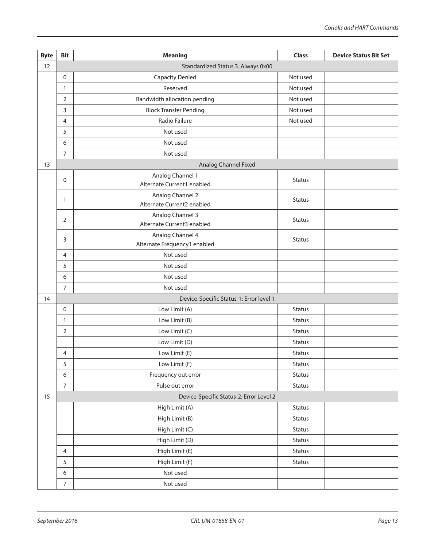| <b>Byte</b> | <b>Bit</b>                         | <b>Meaning</b>                                 | <b>Class</b>  | <b>Device Status Bit Set</b> |  |  |
|-------------|------------------------------------|------------------------------------------------|---------------|------------------------------|--|--|
| 12          | Standardized Status 3. Always 0x00 |                                                |               |                              |  |  |
|             | 0                                  | <b>Capacity Denied</b>                         | Not used      |                              |  |  |
|             | 1                                  | Reserved                                       | Not used      |                              |  |  |
|             | 2                                  | Bandwidth allocation pending                   | Not used      |                              |  |  |
|             | 3                                  | <b>Block Transfer Pending</b>                  | Not used      |                              |  |  |
|             | 4                                  | Radio Failure                                  | Not used      |                              |  |  |
|             | 5                                  | Not used                                       |               |                              |  |  |
|             | 6                                  | Not used                                       |               |                              |  |  |
|             | 7                                  | Not used                                       |               |                              |  |  |
| 13          |                                    | Analog Channel Fixed                           |               |                              |  |  |
|             | 0                                  | Analog Channel 1                               | <b>Status</b> |                              |  |  |
|             |                                    | Alternate Current1 enabled                     |               |                              |  |  |
|             | 1                                  | Analog Channel 2                               | <b>Status</b> |                              |  |  |
|             |                                    | Alternate Current2 enabled                     |               |                              |  |  |
|             | 2                                  | Analog Channel 3<br>Alternate Current3 enabled | <b>Status</b> |                              |  |  |
|             |                                    | Analog Channel 4                               |               |                              |  |  |
|             | 3                                  | Alternate Frequency1 enabled                   | <b>Status</b> |                              |  |  |
|             | 4                                  | Not used                                       |               |                              |  |  |
|             | 5                                  | Not used                                       |               |                              |  |  |
|             | 6                                  | Not used                                       |               |                              |  |  |
|             | $\overline{7}$                     | Not used                                       |               |                              |  |  |
| 14          |                                    | Device-Specific Status-1: Error level 1        |               |                              |  |  |
|             | 0                                  | Low Limit (A)                                  | <b>Status</b> |                              |  |  |
|             | 1                                  | Low Limit (B)                                  | <b>Status</b> |                              |  |  |
|             | 2                                  | Low Limit (C)                                  | <b>Status</b> |                              |  |  |
|             |                                    | Low Limit (D)                                  | <b>Status</b> |                              |  |  |
|             | 4                                  | Low Limit (E)                                  | <b>Status</b> |                              |  |  |
|             | 5                                  | Low Limit (F)                                  | Status        |                              |  |  |
|             | $\boldsymbol{6}$                   | Frequency out error                            | Status        |                              |  |  |
|             | 7                                  | Pulse out error                                | <b>Status</b> |                              |  |  |
| 15          |                                    | Device-Specific Status-2: Error Level 2        |               |                              |  |  |
|             |                                    | High Limit (A)                                 | <b>Status</b> |                              |  |  |
|             |                                    | High Limit (B)                                 | <b>Status</b> |                              |  |  |
|             |                                    | High Limit (C)                                 | Status        |                              |  |  |
|             |                                    | High Limit (D)                                 | <b>Status</b> |                              |  |  |
|             | $\overline{4}$                     | High Limit (E)                                 | Status        |                              |  |  |
|             | 5                                  | High Limit (F)                                 | <b>Status</b> |                              |  |  |
|             | $\boldsymbol{6}$                   | Not used                                       |               |                              |  |  |
|             | $\overline{7}$                     | Not used                                       |               |                              |  |  |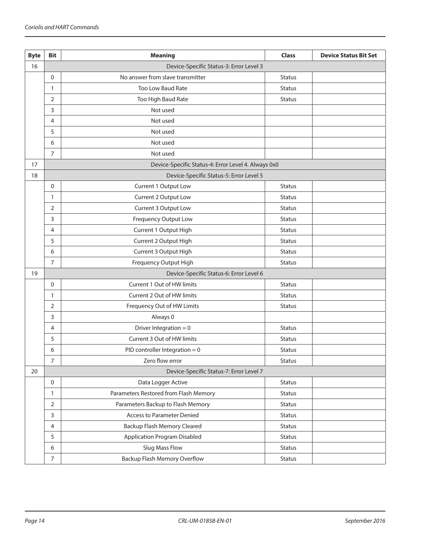| <b>Byte</b> | <b>Bit</b>                              | <b>Meaning</b>                                      | <b>Class</b>  | <b>Device Status Bit Set</b> |  |
|-------------|-----------------------------------------|-----------------------------------------------------|---------------|------------------------------|--|
| 16          |                                         | Device-Specific Status-3: Error Level 3             |               |                              |  |
|             | $\mathbf 0$                             | No answer from slave transmitter                    | <b>Status</b> |                              |  |
|             | $\mathbf{1}$                            | Too Low Baud Rate                                   | <b>Status</b> |                              |  |
|             | 2                                       | Too High Baud Rate                                  | <b>Status</b> |                              |  |
|             | 3                                       | Not used                                            |               |                              |  |
|             | 4                                       | Not used                                            |               |                              |  |
|             | 5                                       | Not used                                            |               |                              |  |
|             | 6                                       | Not used                                            |               |                              |  |
|             | $\overline{7}$                          | Not used                                            |               |                              |  |
| 17          |                                         | Device-Specific Status-4: Error Level 4. Always 0x0 |               |                              |  |
| 18          |                                         | Device-Specific Status-5: Error Level 5             |               |                              |  |
|             | $\mathbf 0$                             | Current 1 Output Low                                | <b>Status</b> |                              |  |
|             | 1                                       | Current 2 Output Low                                | <b>Status</b> |                              |  |
|             | 2                                       | Current 3 Output Low                                | <b>Status</b> |                              |  |
|             | 3                                       | <b>Frequency Output Low</b>                         | <b>Status</b> |                              |  |
|             | 4                                       | Current 1 Output High                               | <b>Status</b> |                              |  |
|             | 5                                       | Current 2 Output High                               | <b>Status</b> |                              |  |
|             | 6                                       | Current 3 Output High                               | <b>Status</b> |                              |  |
|             | $\overline{7}$                          | Frequency Output High                               | <b>Status</b> |                              |  |
| 19          | Device-Specific Status-6: Error Level 6 |                                                     |               |                              |  |
|             | $\mathbf 0$                             | Current 1 Out of HW limits                          | <b>Status</b> |                              |  |
|             | $\mathbf{1}$                            | Current 2 Out of HW limits                          | <b>Status</b> |                              |  |
|             | 2                                       | Frequency Out of HW Limits                          | <b>Status</b> |                              |  |
|             | 3                                       | Always 0                                            |               |                              |  |
|             | 4                                       | Driver Integration = $0$                            | <b>Status</b> |                              |  |
|             | 5                                       | Current 3 Out of HW limits                          | <b>Status</b> |                              |  |
|             | 6                                       | PID controller Integration = $0$                    | <b>Status</b> |                              |  |
|             | 7                                       | Zero flow error                                     | <b>Status</b> |                              |  |
| 20          |                                         | Device-Specific Status-7: Error Level 7             |               |                              |  |
|             | $\mathbf 0$                             | Data Logger Active                                  | <b>Status</b> |                              |  |
|             | 1                                       | Parameters Restored from Flash Memory               | <b>Status</b> |                              |  |
|             | $\overline{2}$                          | Parameters Backup to Flash Memory                   | <b>Status</b> |                              |  |
|             | 3                                       | <b>Access to Parameter Denied</b>                   | <b>Status</b> |                              |  |
|             | 4                                       | Backup Flash Memory Cleared                         | <b>Status</b> |                              |  |
|             | 5                                       | <b>Application Program Disabled</b>                 | <b>Status</b> |                              |  |
|             | 6                                       | <b>Slug Mass Flow</b>                               | <b>Status</b> |                              |  |
|             | $\boldsymbol{7}$                        | Backup Flash Memory Overflow                        | <b>Status</b> |                              |  |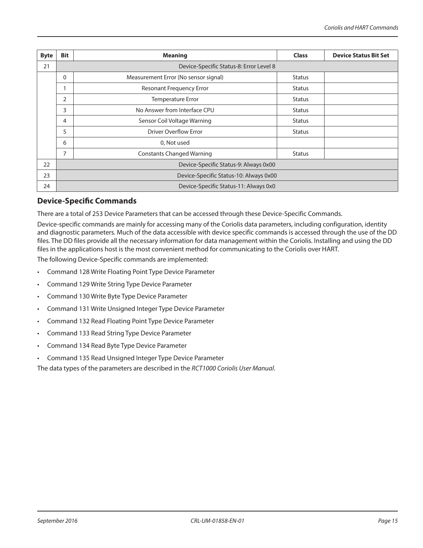<span id="page-14-0"></span>

| <b>Byte</b> | <b>Bit</b>                              | <b>Meaning</b>                        | <b>Class</b>  | <b>Device Status Bit Set</b> |  |  |  |
|-------------|-----------------------------------------|---------------------------------------|---------------|------------------------------|--|--|--|
| 21          | Device-Specific Status-8: Error Level 8 |                                       |               |                              |  |  |  |
|             | 0                                       | Measurement Error (No sensor signal)  | <b>Status</b> |                              |  |  |  |
|             |                                         | <b>Resonant Frequency Error</b>       | <b>Status</b> |                              |  |  |  |
|             | $\overline{2}$                          | Temperature Error                     | <b>Status</b> |                              |  |  |  |
|             | 3                                       | No Answer from Interface CPU          | <b>Status</b> |                              |  |  |  |
|             | 4                                       | Sensor Coil Voltage Warning           | <b>Status</b> |                              |  |  |  |
|             | 5                                       | <b>Driver Overflow Error</b>          | <b>Status</b> |                              |  |  |  |
|             | 6<br>0, Not used                        |                                       |               |                              |  |  |  |
|             | $\overline{7}$                          | <b>Constants Changed Warning</b>      | <b>Status</b> |                              |  |  |  |
| 22          | Device-Specific Status-9: Always 0x00   |                                       |               |                              |  |  |  |
| 23          | Device-Specific Status-10: Always 0x00  |                                       |               |                              |  |  |  |
| 24          |                                         | Device-Specific Status-11: Always 0x0 |               |                              |  |  |  |

# **Device-Specific Commands**

There are a total of 253 Device Parameters that can be accessed through these Device-Specific Commands.

Device-specific commands are mainly for accessing many of the Coriolis data parameters, including configuration, identity and diagnostic parameters. Much of the data accessible with device specific commands is accessed through the use of the DD files. The DD files provide all the necessary information for data management within the Coriolis. Installing and using the DD files in the applications host is the most convenient method for communicating to the Coriolis over HART.

The following Device-Specific commands are implemented:

- Command 128 Write Floating Point Type Device Parameter
- Command 129 Write String Type Device Parameter
- Command 130 Write Byte Type Device Parameter
- Command 131 Write Unsigned Integer Type Device Parameter
- Command 132 Read Floating Point Type Device Parameter
- Command 133 Read String Type Device Parameter
- Command 134 Read Byte Type Device Parameter
- Command 135 Read Unsigned Integer Type Device Parameter

The data types of the parameters are described in the *RCT1000 Coriolis User Manual*.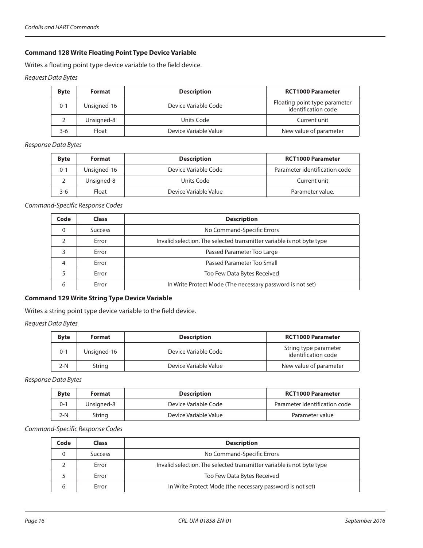### <span id="page-15-0"></span>**Command 128 Write Floating Point Type Device Variable**

Writes a floating point type device variable to the field device.

*Request Data Bytes*

| <b>Byte</b> | <b>Format</b> | <b>Description</b>    | <b>RCT1000 Parameter</b>                             |
|-------------|---------------|-----------------------|------------------------------------------------------|
| $0 - 1$     | Unsigned-16   | Device Variable Code  | Floating point type parameter<br>identification code |
|             | Unsigned-8    | Units Code            | Current unit                                         |
| $3-6$       | Float         | Device Variable Value | New value of parameter                               |

*Response Data Bytes*

| <b>Byte</b> | Format      | <b>Description</b>    | <b>RCT1000 Parameter</b>      |
|-------------|-------------|-----------------------|-------------------------------|
| $0 - 1$     | Unsigned-16 | Device Variable Code  | Parameter identification code |
|             | Unsigned-8  | Units Code            | Current unit                  |
| 3-6         | Float       | Device Variable Value | Parameter value.              |

*Command-Specific Response Codes*

| Code | <b>Class</b>   | <b>Description</b>                                                    |  |
|------|----------------|-----------------------------------------------------------------------|--|
| 0    | <b>Success</b> | No Command-Specific Errors                                            |  |
| ∍    | Error          | Invalid selection. The selected transmitter variable is not byte type |  |
| っ    | Error          | Passed Parameter Too Large                                            |  |
|      | Error          | Passed Parameter Too Small                                            |  |
|      | Error          | Too Few Data Bytes Received                                           |  |
| 6    | Error          | In Write Protect Mode (The necessary password is not set)             |  |

### **Command 129 Write String Type Device Variable**

Writes a string point type device variable to the field device.

*Request Data Bytes*

| <b>Byte</b> | <b>Format</b> | <b>Description</b>    | <b>RCT1000 Parameter</b>                     |
|-------------|---------------|-----------------------|----------------------------------------------|
| $0 - 1$     | Unsigned-16   | Device Variable Code  | String type parameter<br>identification code |
| 2-N         | String        | Device Variable Value | New value of parameter                       |

*Response Data Bytes*

| <b>Byte</b> | <b>Format</b> | <b>Description</b>    | <b>RCT1000 Parameter</b>      |
|-------------|---------------|-----------------------|-------------------------------|
| $0 - 1$     | Unsianed-8    | Device Variable Code  | Parameter identification code |
| 2-N         | String        | Device Variable Value | Parameter value               |

| Code | <b>Class</b>   | <b>Description</b>                                                    |  |
|------|----------------|-----------------------------------------------------------------------|--|
| 0    | <b>Success</b> | No Command-Specific Errors                                            |  |
|      | Error          | Invalid selection. The selected transmitter variable is not byte type |  |
|      | Error          | Too Few Data Bytes Received                                           |  |
|      | Error          | In Write Protect Mode (the necessary password is not set)             |  |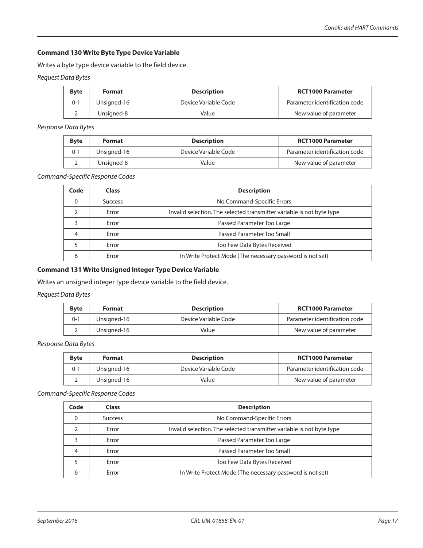#### <span id="page-16-0"></span>**Command 130 Write Byte Type Device Variable**

Writes a byte type device variable to the field device.

*Request Data Bytes*

| <b>Byte</b> | <b>Format</b> | <b>Description</b>   | <b>RCT1000 Parameter</b>      |
|-------------|---------------|----------------------|-------------------------------|
| $0 - 1$     | Unsigned-16   | Device Variable Code | Parameter identification code |
|             | Unsigned-8    | Value                | New value of parameter        |

*Response Data Bytes*

| <b>Byte</b> | Format      | <b>Description</b>   | <b>RCT1000 Parameter</b>      |
|-------------|-------------|----------------------|-------------------------------|
| $0 - 1$     | Unsigned-16 | Device Variable Code | Parameter identification code |
| ∠           | Unsigned-8  | Value                | New value of parameter        |

*Command-Specific Response Codes*

| Code | <b>Class</b>   | <b>Description</b>                                                    |  |
|------|----------------|-----------------------------------------------------------------------|--|
| 0    | <b>Success</b> | No Command-Specific Errors                                            |  |
|      | Error          | Invalid selection. The selected transmitter variable is not byte type |  |
| 3    | Error          | Passed Parameter Too Large                                            |  |
| 4    | Error          | Passed Parameter Too Small                                            |  |
|      | Error          | Too Few Data Bytes Received                                           |  |
|      | Error          | In Write Protect Mode (The necessary password is not set)             |  |

#### **Command 131 Write Unsigned Integer Type Device Variable**

Writes an unsigned integer type device variable to the field device.

#### *Request Data Bytes*

| <b>Byte</b> | Format      | <b>Description</b>   | <b>RCT1000 Parameter</b>      |
|-------------|-------------|----------------------|-------------------------------|
| 0-1         | Unsigned-16 | Device Variable Code | Parameter identification code |
|             | Unsigned-16 | Value                | New value of parameter        |

*Response Data Bytes*

| <b>Byte</b> | <b>Format</b> | <b>Description</b>   | <b>RCT1000 Parameter</b>      |
|-------------|---------------|----------------------|-------------------------------|
| $0 - 1$     | Unsigned-16   | Device Variable Code | Parameter identification code |
|             | Unsigned-16   | Value                | New value of parameter        |

| Code | <b>Class</b>   | <b>Description</b>                                                    |  |
|------|----------------|-----------------------------------------------------------------------|--|
| 0    | <b>Success</b> | No Command-Specific Errors                                            |  |
|      | Error          | Invalid selection. The selected transmitter variable is not byte type |  |
|      | Error          | Passed Parameter Too Large                                            |  |
| 4    | Error          | Passed Parameter Too Small                                            |  |
|      | Error          | Too Few Data Bytes Received                                           |  |
|      | Error          | In Write Protect Mode (The necessary password is not set)             |  |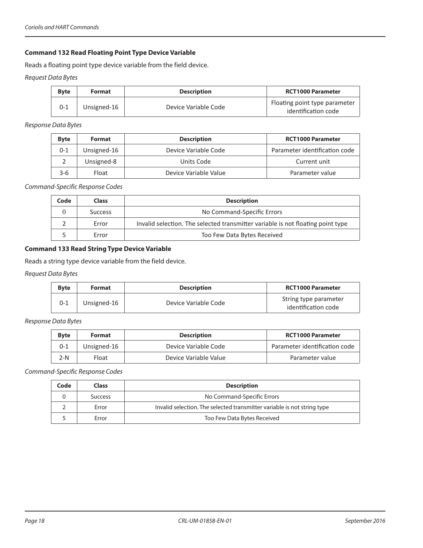# <span id="page-17-0"></span>**Command 132 Read Floating Point Type Device Variable**

Reads a floating point type device variable from the field device.

*Request Data Bytes*

| <b>Byte</b> | <b>Format</b> | <b>Description</b>   | <b>RCT1000 Parameter</b>                             |
|-------------|---------------|----------------------|------------------------------------------------------|
| $0 - 1$     | Unsigned-16   | Device Variable Code | Floating point type parameter<br>identification code |

*Response Data Bytes*

| <b>Byte</b> | Format      | <b>Description</b>    | <b>RCT1000 Parameter</b>      |
|-------------|-------------|-----------------------|-------------------------------|
| $0 - 1$     | Unsigned-16 | Device Variable Code  | Parameter identification code |
|             | Unsigned-8  | Units Code            | Current unit                  |
| 3-6         | Float       | Device Variable Value | Parameter value               |

#### *Command-Specific Response Codes*

| Code | <b>Class</b>   | <b>Description</b>                                                              |  |
|------|----------------|---------------------------------------------------------------------------------|--|
|      | <b>Success</b> | No Command-Specific Errors                                                      |  |
|      | Error          | Invalid selection. The selected transmitter variable is not floating point type |  |
|      | Error          | Too Few Data Bytes Received                                                     |  |

#### **Command 133 Read String Type Device Variable**

Reads a string type device variable from the field device.

*Request Data Bytes*

| <b>Byte</b> | Format      | <b>Description</b>   | <b>RCT1000 Parameter</b>                     |
|-------------|-------------|----------------------|----------------------------------------------|
| $0 - 1$     | Unsigned-16 | Device Variable Code | String type parameter<br>identification code |

*Response Data Bytes*

| <b>Byte</b> | Format      | <b>Description</b>    | <b>RCT1000 Parameter</b>      |
|-------------|-------------|-----------------------|-------------------------------|
| $0 - 1$     | Unsigned-16 | Device Variable Code  | Parameter identification code |
| 2-N         | Float       | Device Variable Value | Parameter value               |

| Code | Class          | <b>Description</b>                                                      |  |
|------|----------------|-------------------------------------------------------------------------|--|
|      | <b>Success</b> | No Command-Specific Errors                                              |  |
|      | Error          | Invalid selection. The selected transmitter variable is not string type |  |
|      | Error          | Too Few Data Bytes Received                                             |  |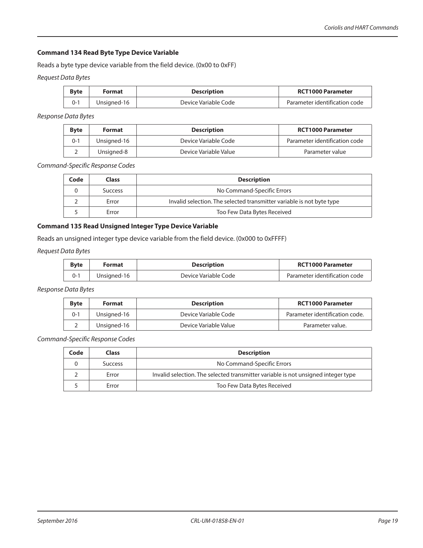#### <span id="page-18-0"></span>**Command 134 Read Byte Type Device Variable**

Reads a byte type device variable from the field device. (0x00 to 0xFF)

*Request Data Bytes*

| <b>Byte</b> | <b>Format</b> | <b>Description</b>   | <b>RCT1000 Parameter</b>      |
|-------------|---------------|----------------------|-------------------------------|
|             | Unsigned-16   | Device Variable Code | Parameter identification code |

*Response Data Bytes*

| <b>B</b> vte | Format      | <b>Description</b>    | <b>RCT1000 Parameter</b>      |
|--------------|-------------|-----------------------|-------------------------------|
| $0 - 1$      | Unsigned-16 | Device Variable Code  | Parameter identification code |
|              | Unsianed-8  | Device Variable Value | Parameter value               |

*Command-Specific Response Codes*

| Code | Class          | <b>Description</b>                                                    |  |
|------|----------------|-----------------------------------------------------------------------|--|
|      | <b>Success</b> | No Command-Specific Errors                                            |  |
|      | Error          | Invalid selection. The selected transmitter variable is not byte type |  |
|      | Error          | Too Few Data Bytes Received                                           |  |

# **Command 135 Read Unsigned Integer Type Device Variable**

Reads an unsigned integer type device variable from the field device. (0x000 to 0xFFFF)

*Request Data Bytes*

| <b>Byte</b> | Format      | <b>Description</b>   | <b>RCT1000 Parameter</b>      |
|-------------|-------------|----------------------|-------------------------------|
| በ-1         | Unsigned-16 | Device Variable Code | Parameter identification code |

*Response Data Bytes*

| <b>Byte</b> | <b>Format</b> | <b>Description</b>    | <b>RCT1000 Parameter</b>       |
|-------------|---------------|-----------------------|--------------------------------|
| 0-1         | Unsigned-16   | Device Variable Code  | Parameter identification code. |
|             | Unsigned-16   | Device Variable Value | Parameter value.               |

| Code | <b>Class</b>   | <b>Description</b>                                                                |  |
|------|----------------|-----------------------------------------------------------------------------------|--|
|      | <b>Success</b> | No Command-Specific Errors                                                        |  |
|      | Error          | Invalid selection. The selected transmitter variable is not unsigned integer type |  |
|      | Error          | Too Few Data Bytes Received                                                       |  |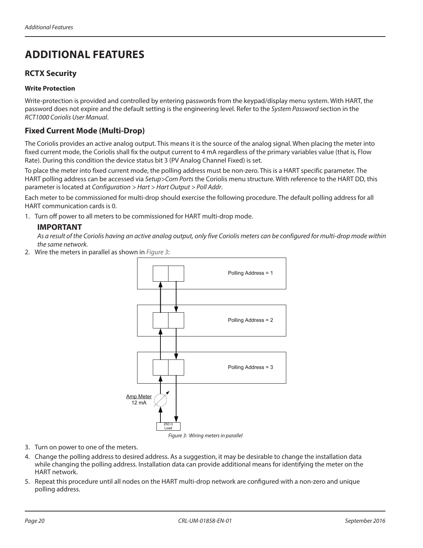# <span id="page-19-0"></span>**ADDITIONAL FEATURES**

# **RCTX Security**

### **Write Protection**

Write-protection is provided and controlled by entering passwords from the keypad/display menu system. With HART, the password does not expire and the default setting is the engineering level. Refer to the *System Password* section in the *RCT1000 Coriolis User Manual*.

# **Fixed Current Mode (Multi-Drop)**

The Coriolis provides an active analog output. This means it is the source of the analog signal. When placing the meter into fixed current mode, the Coriolis shall fix the output current to 4 mA regardless of the primary variables value (that is, Flow Rate). During this condition the device status bit 3 (PV Analog Channel Fixed) is set.

To place the meter into fixed current mode, the polling address must be non-zero. This is a HART specific parameter. The HART polling address can be accessed via *Setup>Com Ports* the Coriolis menu structure. With reference to the HART DD, this parameter is located at *Configuration > Hart > Hart Output > Poll Addr*.

Each meter to be commissioned for multi-drop should exercise the following procedure. The default polling address for all HART communication cards is 0.

1. Turn off power to all meters to be commissioned for HART multi-drop mode.

# **IIMPORTAN**

*As a result of the Coriolis having an active analog output, only five Coriolis meters can be configured for multi-drop mode within the same network.* 

2. Wire the meters in parallel as shown in *[Figure](#page-19-1) 3*:

<span id="page-19-1"></span>

3. Turn on power to one of the meters.

- 4. Change the polling address to desired address. As a suggestion, it may be desirable to change the installation data while changing the polling address. Installation data can provide additional means for identifying the meter on the HART network.
- 5. Repeat this procedure until all nodes on the HART multi-drop network are configured with a non-zero and unique polling address.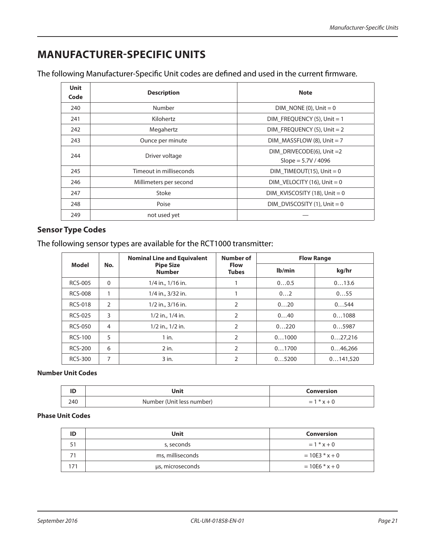# <span id="page-20-0"></span>**MANUFACTURER-SPECIFIC UNITS**

| The following Manufacturer-Specific Unit codes are defined and used in the current firmware. |  |  |
|----------------------------------------------------------------------------------------------|--|--|
|                                                                                              |  |  |

| <b>Unit</b><br>Code | <b>Description</b>      | <b>Note</b>                                        |
|---------------------|-------------------------|----------------------------------------------------|
| 240                 | <b>Number</b>           | DIM NONE (0), Unit $= 0$                           |
| 241                 | Kilohertz               | DIM FREQUENCY $(5)$ , Unit = 1                     |
| 242                 | Megahertz               | DIM FREQUENCY $(5)$ , Unit = 2                     |
| 243                 | Ounce per minute        | DIM MASSFLOW $(8)$ , Unit = 7                      |
| 244                 | Driver voltage          | DIM DRIVECODE(6), Unit $=2$<br>Slope = $5.7V/4096$ |
| 245                 | Timeout in milliseconds | $DIM_TIMEOUT(15)$ , Unit = 0                       |
| 246                 | Millimeters per second  | DIM VELOCITY (16), Unit = $0$                      |
| 247                 | Stoke                   | DIM KVISCOSITY (18), Unit = 0                      |
| 248                 | Poise                   | DIM DVISCOSITY $(1)$ , Unit = 0                    |
| 249                 | not used yet            |                                                    |

# **Sensor Type Codes**

The following sensor types are available for the RCT1000 transmitter:

|                |                | <b>Nominal Line and Equivalent</b> | Number of                   | <b>Flow Range</b> |          |
|----------------|----------------|------------------------------------|-----------------------------|-------------------|----------|
| Model          | No.            | <b>Pipe Size</b><br><b>Number</b>  | <b>Flow</b><br><b>Tubes</b> | Ib/min            | kg/hr    |
| <b>RCS-005</b> | 0              | 1/4 in., 1/16 in.                  |                             | 00.5              | 013.6    |
| <b>RCS-008</b> |                | 1/4 in., 3/32 in.                  |                             | 02                | 055      |
| <b>RCS-018</b> | $\overline{2}$ | $1/2$ in., $3/16$ in.              | 2                           | 020               | 0544     |
| <b>RCS-025</b> | 3              | $1/2$ in., $1/4$ in.               | 2                           | 040               | 01088    |
| <b>RCS-050</b> | 4              | $1/2$ in., $1/2$ in.               | $\overline{2}$              | 0220              | 05987    |
| <b>RCS-100</b> | 5              | $1$ in.                            | 2                           | 01000             | 027,216  |
| <b>RCS-200</b> | 6              | $2$ in.                            | $\overline{2}$              | 01700             | 046,266  |
| <b>RCS-300</b> | 7              | $3$ in.                            | 2                           | 05200             | 0141.520 |

# **Number Unit Codes**

| <br> | Jnit                      | Conversion                                      |
|------|---------------------------|-------------------------------------------------|
| 240  | Number (Unit less number) | $\overline{\phantom{m}}$<br>$\pi$ $\gamma$<br>- |

# **Phase Unit Codes**

| ID | <b>Unit</b>      | Conversion       |
|----|------------------|------------------|
|    | s, seconds       | $= 1 * x + 0$    |
|    | ms, milliseconds | $= 10E3 * x + 0$ |
|    | µs, microseconds | $= 10E6 * x + 0$ |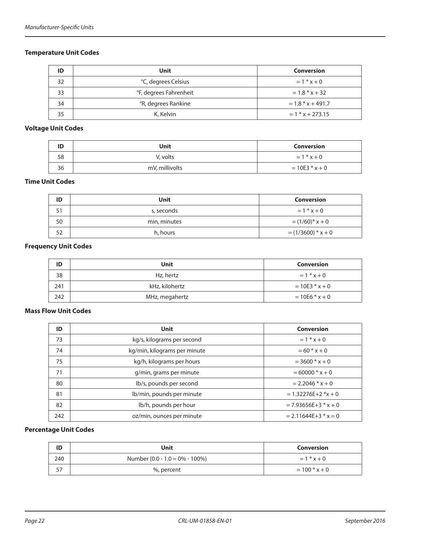# <span id="page-21-0"></span>**Temperature Unit Codes**

| ID | Unit                   | <b>Conversion</b>   |
|----|------------------------|---------------------|
| 32 | °C, degrees Celsius    | $= 1 * x + 0$       |
| 33 | °F, degrees Fahrenheit | $= 1.8 * x + 32$    |
| 34 | °R, degrees Rankine    | $= 1.8 * x + 491.7$ |
| 35 | K. Kelvin              | $= 1$ * x + 273.15  |

# **Voltage Unit Codes**

| ID | Unit           | Conversion       |
|----|----------------|------------------|
| 58 | V, volts       | $= 1 * x + 0$    |
| 36 | mV, millivolts | $= 10E3 * x + 0$ |

#### **Time Unit Codes**

| ID | Unit         | Conversion           |
|----|--------------|----------------------|
| 51 | s, seconds   | $= 1 * x + 0$        |
| 50 | min, minutes | $(1/60)^{*}x + 0$    |
| 52 | h, hours     | $= (1/3600) * x + 0$ |

# **Frequency Unit Codes**

| ID  | <b>Unit</b>    | Conversion       |
|-----|----------------|------------------|
| 38  | Hz, hertz      | $= 1 * x + 0$    |
| 241 | kHz, kilohertz | $= 10E3 * x + 0$ |
| 242 | MHz, megahertz | $= 10E6$ * x + 0 |

## **Mass Flow Unit Codes**

| ID  | <b>Unit</b>                  | <b>Conversion</b>        |
|-----|------------------------------|--------------------------|
| 73  | kg/s, kilograms per second   | $= 1 * x + 0$            |
| 74  | kg/min, kilograms per minute | $= 60 * x + 0$           |
| 75  | kg/h, kilograms per hours    | $=$ 3600 $*$ x + 0       |
| 71  | g/min, grams per minute      | $= 60000 * x + 0$        |
| 80  | lb/s, pounds per second      | $= 2.2046 * x + 0$       |
| 81  | lb/min, pounds per minute    | $= 1.32276E + 2 * x + 0$ |
| 82  | lb/h, pounds per hour        | $= 7.93656E + 3 * x + 0$ |
| 242 | oz/min, ounces per minute    | $= 2.11644E+3$ * x = 0   |

### **Percentage Unit Codes**

| ID  | Unit                           | <b>Conversion</b> |
|-----|--------------------------------|-------------------|
| 240 | Number (0.0 - 1.0 = 0% - 100%) | $= 1 * x + 0$     |
| 57  | %, percent                     | $= 100 * x + 0$   |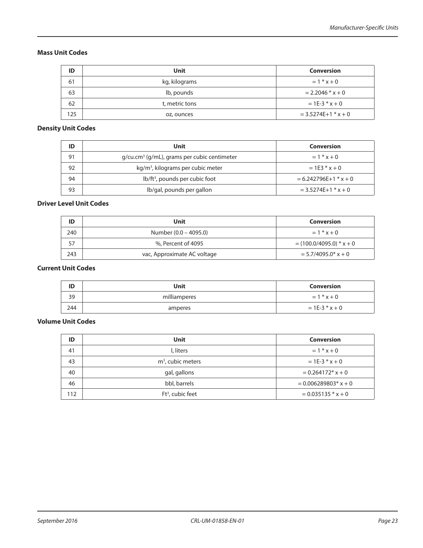#### <span id="page-22-0"></span>**Mass Unit Codes**

| ID  | Unit           | Conversion            |
|-----|----------------|-----------------------|
| 61  | kg, kilograms  | $= 1 * x + 0$         |
| 63  | lb, pounds     | $= 2.2046 * x + 0$    |
| 62  | t, metric tons | $= 1E - 3 * x + 0$    |
| 125 | oz, ounces     | $= 3.5274E+1$ * x + 0 |

# **Density Unit Codes**

| ID | Unit                                          | <b>Conversion</b>       |
|----|-----------------------------------------------|-------------------------|
| 91 | $q/cu.cm3$ (g/mL), grams per cubic centimeter | $= 1 * x + 0$           |
| 92 | kg/m <sup>3</sup> , kilograms per cubic meter | $= 1F3 * x + 0$         |
| 94 | lb/ft <sup>3</sup> , pounds per cubic foot    | $= 6.242796E+1$ * x + 0 |
| 93 | lb/gal, pounds per gallon                     | $= 3.5274E+1$ * x + 0   |

#### **Driver Level Unit Codes**

| ID  | Unit                        | <b>Conversion</b>          |
|-----|-----------------------------|----------------------------|
| 240 | Number (0.0 – 4095.0)       | $= 1 * x + 0$              |
|     | %, Percent of 4095          | $= (100.0/4095.0) * x + 0$ |
| 243 | vac, Approximate AC voltage | $= 5.7/4095.0^* x + 0$     |

# **Current Unit Codes**

| ID  | Unit         | Conversion         |
|-----|--------------|--------------------|
| 39  | milliamperes | $= 1 * x + 0$      |
| 244 | amperes      | $= 1E - 3 * x + 0$ |

# **Volume Unit Codes**

| ID  | Unit                | <b>Conversion</b>                  |
|-----|---------------------|------------------------------------|
| 41  | l, liters           | $= 1 * x + 0$                      |
| 43  | $m3$ , cubic meters | $= 1E-3 * x + 0$                   |
| 40  | gal, gallons        | $= 0.264172$ * x + 0               |
| 46  | bbl, barrels        | $= 0.006289803$ <sup>*</sup> x + 0 |
| 112 | $Ft3$ , cubic feet  | $= 0.035135 * x + 0$               |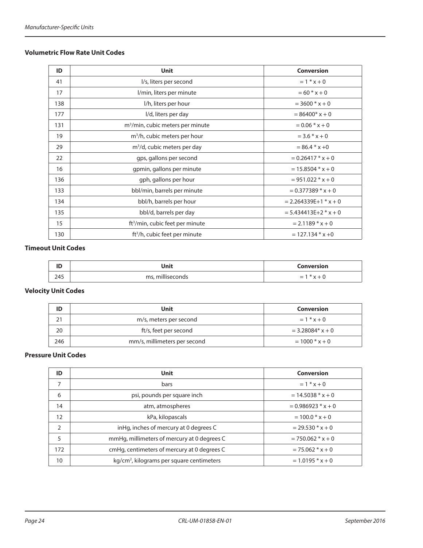# <span id="page-23-0"></span>**Volumetric Flow Rate Unit Codes**

| ID  | <b>Unit</b>                                  | <b>Conversion</b>       |
|-----|----------------------------------------------|-------------------------|
| 41  | I/s, liters per second                       | $= 1 * x + 0$           |
| 17  | l/min, liters per minute                     | $= 60 * x + 0$          |
| 138 | I/h, liters per hour                         | $=$ 3600 $*$ x + 0      |
| 177 | I/d, liters per day                          | $= 86400* x + 0$        |
| 131 | m <sup>3</sup> /min, cubic meters per minute | $= 0.06 * x + 0$        |
| 19  | m <sup>3</sup> /h, cubic meters per hour     | $=$ 3.6 $*$ x + 0       |
| 29  | $m3/d$ , cubic meters per day                | $= 86.4 * x + 0$        |
| 22  | gps, gallons per second                      | $= 0.26417 * x + 0$     |
| 16  | gpmin, gallons per minute                    | $= 15.8504$ * x + 0     |
| 136 | gph, gallons per hour                        | $= 951.022 * x + 0$     |
| 133 | bbl/min, barrels per minute                  | $= 0.377389 * x + 0$    |
| 134 | bbl/h, barrels per hour                      | $= 2.264339E+1$ * x + 0 |
| 135 | bbl/d, barrels per day                       | $= 5.434413E+2 * x + 0$ |
| 15  | ft <sup>3</sup> /min, cubic feet per minute  | $= 2.1189 * x + 0$      |
| 130 | ft <sup>3</sup> /h, cubic feet per minute    | $= 127.134$ * x +0      |

# **Timeout Unit Codes**

| <b>150</b><br>שו | Unit             | Conversion    |
|------------------|------------------|---------------|
| 245              | ms, milliseconds | $*x+0$<br>$=$ |

#### **Velocity Unit Codes**

| ID       | Unit                         | <b>Conversion</b>   |  |
|----------|------------------------------|---------------------|--|
| 21<br>∠⊣ | m/s, meters per second       | $= 1 * x + 0$       |  |
| 20       | ft/s, feet per second        | $= 3.28084$ * x + 0 |  |
| 246      | mm/s, millimeters per second | $= 1000 * x + 0$    |  |

### **Pressure Unit Codes**

| ID                               | Unit                                                  | <b>Conversion</b>    |  |
|----------------------------------|-------------------------------------------------------|----------------------|--|
| $\overline{7}$                   | bars                                                  | $= 1 * x + 0$        |  |
| psi, pounds per square inch<br>6 |                                                       | $= 14.5038 * x + 0$  |  |
| 14                               | atm, atmospheres                                      | $= 0.986923 * x + 0$ |  |
| 12                               | kPa, kilopascals                                      | $= 100.0 * x + 0$    |  |
| $\overline{2}$                   | inHg, inches of mercury at 0 degrees C                | $= 29.530 * x + 0$   |  |
| 5                                | mmHg, millimeters of mercury at 0 degrees C           | $= 750.062 * x + 0$  |  |
| 172                              | cmHg, centimeters of mercury at 0 degrees C           | $= 75.062 * x + 0$   |  |
| 10                               | kg/cm <sup>2</sup> , kilograms per square centimeters | $= 1.0195 * x + 0$   |  |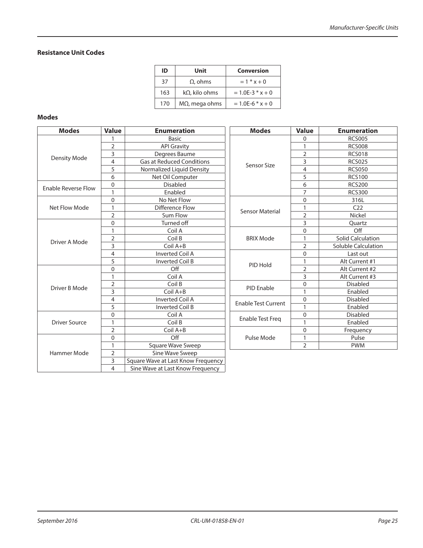#### <span id="page-24-0"></span>**Resistance Unit Codes**

| ID  | Unit                  | <b>Conversion</b>    |
|-----|-----------------------|----------------------|
| 37  | $\Omega$ , ohms       | $= 1 * x + 0$        |
| 163 | $k\Omega$ , kilo ohms | $= 1.0E - 3 * x + 0$ |
| 170 | $M\Omega$ , mega ohms | $= 1.0E - 6 * x + 0$ |

#### **Modes**

| <b>Modes</b>               | <b>Value</b>   | <b>Enumeration</b>                 | <b>Modes</b>               | <b>Value</b>   | <b>Enumeration</b>         |
|----------------------------|----------------|------------------------------------|----------------------------|----------------|----------------------------|
|                            |                | <b>Basic</b>                       | Sensor Size                | 0              | <b>RCS005</b>              |
|                            | 2              | <b>API Gravity</b>                 |                            | 1              | <b>RCS008</b>              |
|                            | 3              | Degrees Baume                      |                            | $\overline{2}$ | <b>RCS018</b>              |
| <b>Density Mode</b>        | 4              | <b>Gas at Reduced Conditions</b>   |                            | 3              | <b>RCS025</b>              |
|                            | 5              | Normalized Liquid Density          |                            | 4              | <b>RCS050</b>              |
|                            | 6              | Net Oil Computer                   |                            | 5              | <b>RCS100</b>              |
| <b>Enable Reverse Flow</b> | 0              | <b>Disabled</b>                    |                            | 6              | <b>RCS200</b>              |
|                            |                | Enabled                            |                            | 7              | <b>RCS300</b>              |
|                            | 0              | No Net Flow                        | <b>Sensor Material</b>     | 0              | 316L                       |
| Net Flow Mode              | 1              | <b>Difference Flow</b>             |                            | 1              | C <sub>22</sub>            |
|                            | 2              | Sum Flow                           |                            | $\overline{2}$ | Nickel                     |
|                            | 0              | Turned off                         |                            | 3              | Quartz                     |
|                            | 1              | Coil A                             |                            | $\overline{0}$ | Off                        |
| Driver A Mode              | 2              | Coil B                             | <b>BRIX Mode</b>           | 1              | <b>Solid Calculation</b>   |
|                            | 3              | $Coil A+B$                         |                            | $\overline{2}$ | <b>Soluble Calculation</b> |
|                            | 4              | <b>Inverted Coil A</b>             | PID Hold                   | 0              | Last out                   |
|                            | 5              | <b>Inverted Coil B</b>             |                            | 1              | Alt Current #1             |
|                            | 0              | Off                                |                            | $\overline{2}$ | Alt Current #2             |
|                            | 1              | Coil A                             |                            | 3              | Alt Current #3             |
| Driver B Mode              | 2              | Coil B                             | <b>PID Enable</b>          | 0              | <b>Disabled</b>            |
|                            | 3              | $Coil A+B$                         |                            | $\overline{1}$ | Enabled                    |
|                            | 4              | <b>Inverted Coil A</b>             | <b>Enable Test Current</b> | 0              | <b>Disabled</b>            |
|                            | 5              | <b>Inverted Coil B</b>             |                            | $\overline{1}$ | Enabled                    |
|                            | 0              | Coil A                             |                            | 0              | <b>Disabled</b>            |
| <b>Driver Source</b>       | 1              | Coil B                             | <b>Enable Test Freq</b>    | 1              | Enabled                    |
|                            | 2              | Coil A+B                           |                            | $\overline{0}$ | Frequency                  |
|                            | 0              | Off                                | Pulse Mode                 | 1              | Pulse                      |
|                            | 1              | Square Wave Sweep                  |                            | $\overline{2}$ | <b>PWM</b>                 |
| Hammer Mode                | $\overline{2}$ | Sine Wave Sweep                    |                            |                |                            |
|                            | 3              | Square Wave at Last Know Frequency |                            |                |                            |
|                            | 4              | Sine Wave at Last Know Frequency   |                            |                |                            |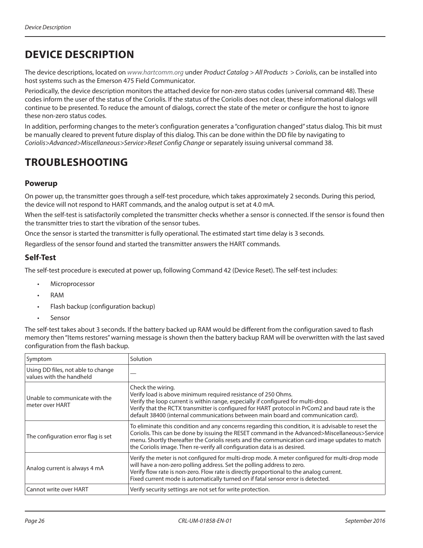# <span id="page-25-0"></span>**DEVICE DESCRIPTION**

The device descriptions, located on *[www.hartcomm.](www.badgermeter.com)org* under *Product Catalog > All Products > Coriolis*, can be installed into host systems such as the Emerson 475 Field Communicator.

Periodically, the device description monitors the attached device for non-zero status codes (universal command 48). These codes inform the user of the status of the Coriolis. If the status of the Coriolis does not clear, these informational dialogs will continue to be presented. To reduce the amount of dialogs, correct the state of the meter or configure the host to ignore these non-zero status codes.

In addition, performing changes to the meter's configuration generates a "configuration changed" status dialog. This bit must be manually cleared to prevent future display of this dialog. This can be done within the DD file by navigating to *Coriolis>Advanced>Miscellaneous>Service>Reset Config Change* or separately issuing universal command 38.

# <span id="page-25-1"></span>**TROUBLESHOOTING**

# **Powerup**

On power up, the transmitter goes through a self-test procedure, which takes approximately 2 seconds. During this period, the device will not respond to HART commands, and the analog output is set at 4.0 mA.

When the self-test is satisfactorily completed the transmitter checks whether a sensor is connected. If the sensor is found then the transmitter tries to start the vibration of the sensor tubes.

Once the sensor is started the transmitter is fully operational. The estimated start time delay is 3 seconds.

Regardless of the sensor found and started the transmitter answers the HART commands.

# **Self-Test**

The self-test procedure is executed at power up, following Command 42 (Device Reset). The self-test includes:

- **Microprocessor**
- RAM
- Flash backup (configuration backup)
- Sensor

The self-test takes about 3 seconds. If the battery backed up RAM would be different from the configuration saved to flash memory then "Items restores" warning message is shown then the battery backup RAM will be overwritten with the last saved configuration from the flash backup.

| Symptom                                                        | Solution                                                                                                                                                                                                                                                                                                                                                                           |  |  |  |
|----------------------------------------------------------------|------------------------------------------------------------------------------------------------------------------------------------------------------------------------------------------------------------------------------------------------------------------------------------------------------------------------------------------------------------------------------------|--|--|--|
| Using DD files, not able to change<br>values with the handheld |                                                                                                                                                                                                                                                                                                                                                                                    |  |  |  |
| Unable to communicate with the<br>meter over HART              | Check the wiring.<br>Verify load is above minimum required resistance of 250 Ohms.<br>Verify the loop current is within range, especially if configured for multi-drop.<br>Verify that the RCTX transmitter is configured for HART protocol in PrCom2 and baud rate is the<br>default 38400 (internal communications between main board and communication card).                   |  |  |  |
| The configuration error flag is set                            | To eliminate this condition and any concerns regarding this condition, it is advisable to reset the<br>Coriolis. This can be done by issuing the RESET command in the Advanced>Miscellaneous>Service<br>menu. Shortly thereafter the Coriolis resets and the communication card image updates to match<br>the Coriolis image. Then re-verify all configuration data is as desired. |  |  |  |
| Analog current is always 4 mA                                  | Verify the meter is not configured for multi-drop mode. A meter configured for multi-drop mode<br>will have a non-zero polling address. Set the polling address to zero.<br>Verify flow rate is non-zero. Flow rate is directly proportional to the analog current.<br>Fixed current mode is automatically turned on if fatal sensor error is detected.                            |  |  |  |
| Cannot write over HART                                         | Verify security settings are not set for write protection.                                                                                                                                                                                                                                                                                                                         |  |  |  |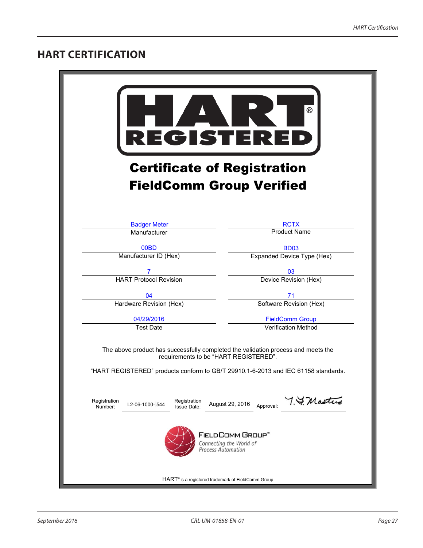# <span id="page-26-0"></span>**HART CERTIFICATION**

| ®<br><b>REGISTERE</b><br><b>Certificate of Registration</b>                                                                |                                                      |  |  |
|----------------------------------------------------------------------------------------------------------------------------|------------------------------------------------------|--|--|
| <b>FieldComm Group Verified</b>                                                                                            |                                                      |  |  |
| <b>Badger Meter</b><br>Manufacturer                                                                                        | <b>RCTX</b><br><b>Product Name</b>                   |  |  |
| 00BD                                                                                                                       | <b>BD03</b>                                          |  |  |
| Manufacturer ID (Hex)                                                                                                      | Expanded Device Type (Hex)                           |  |  |
| <b>HART Protocol Revision</b>                                                                                              | 03<br>Device Revision (Hex)                          |  |  |
| 04                                                                                                                         | 71                                                   |  |  |
| Hardware Revision (Hex)                                                                                                    | Software Revision (Hex)                              |  |  |
| 04/29/2016<br><b>Test Date</b>                                                                                             | <b>FieldComm Group</b><br><b>Verification Method</b> |  |  |
| The above product has successfully completed the validation process and meets the<br>requirements to be "HART REGISTERED". |                                                      |  |  |
| "HART REGISTERED" products conform to GB/T 29910.1-6-2013 and IEC 61158 standards.                                         |                                                      |  |  |
| Registration<br>Registration<br>L2-06-1000-544<br>Number:<br><b>Issue Date:</b>                                            | 7. F. Mastus<br>August 29, 2016<br>Approval:         |  |  |
| <b>FIELDCOMM GROUP"</b><br>Connecting the World of<br><b>Process Automation</b>                                            |                                                      |  |  |
| HART® is a registered trademark of FieldComm Group                                                                         |                                                      |  |  |